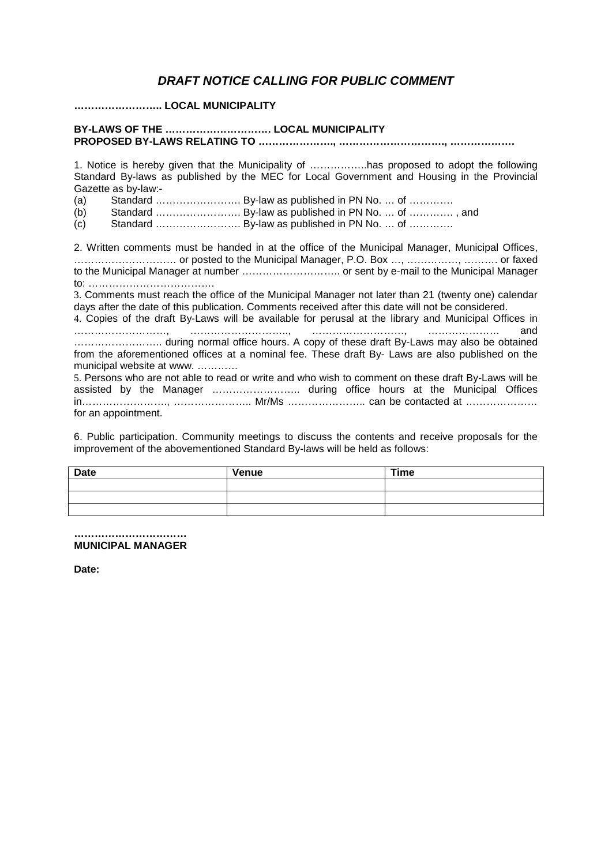## *DRAFT NOTICE CALLING FOR PUBLIC COMMENT*

**…………………….. LOCAL MUNICIPALITY**

## **BY-LAWS OF THE …………………………. LOCAL MUNICIPALITY PROPOSED BY-LAWS RELATING TO …………………., …………………………., ……………….**

1. Notice is hereby given that the Municipality of ……………..has proposed to adopt the following Standard By-laws as published by the MEC for Local Government and Housing in the Provincial Gazette as by-law:-

- (a) Standard  $\ldots$  Standard  $\ldots$  Ey-law as published in PN No.  $\ldots$  of  $\ldots$  Standard  $\ldots$   $\ldots$   $\ldots$  By-law as published in PN No.  $\ldots$  of  $\ldots$
- Standard ……………………………………. By-law as published in PN No. … of …………….. , and
- $(c)$  Standard  $\ldots$   $\ldots$   $\ldots$   $\ldots$   $\ldots$   $\ldots$   $\ldots$   $\ldots$   $\ldots$   $\ldots$   $\ldots$   $\ldots$   $\ldots$   $\ldots$

2. Written comments must be handed in at the office of the Municipal Manager, Municipal Offices, ………………………… or posted to the Municipal Manager, P.O. Box …, ……………, ………. or faxed to the Municipal Manager at number ……………………….. or sent by e-mail to the Municipal Manager to: ………………………………. 3. Comments must reach the office of the Municipal Manager not later than 21 (twenty one) calendar days after the date of this publication. Comments received after this date will not be considered. 4. Copies of the draft By-Laws will be available for perusal at the library and Municipal Offices in ………………………, ……………………….., ………………………, ………………… and …………………….. during normal office hours. A copy of these draft By-Laws may also be obtained from the aforementioned offices at a nominal fee. These draft By- Laws are also published on the municipal website at www. ………… 5. Persons who are not able to read or write and who wish to comment on these draft By-Laws will be assisted by the Manager …………………….. during office hours at the Municipal Offices in……………………., ………………….. Mr/Ms ………………….. can be contacted at ………………… for an appointment.

6. Public participation. Community meetings to discuss the contents and receive proposals for the improvement of the abovementioned Standard By-laws will be held as follows:

| <b>Date</b> | Venue | <b>Time</b> |
|-------------|-------|-------------|
|             |       |             |
|             |       |             |
|             |       |             |

**…………………………… MUNICIPAL MANAGER**

**Date:**